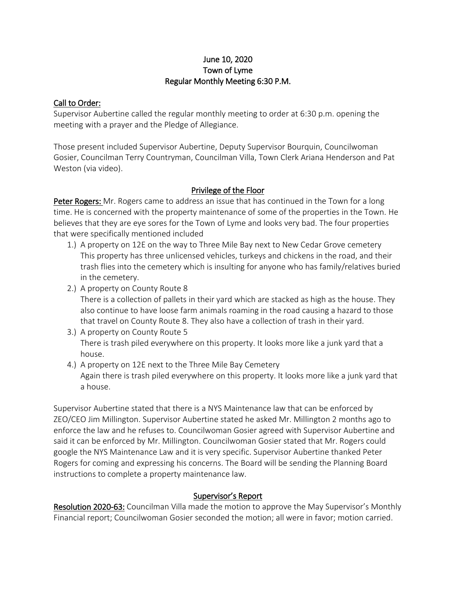# June 10, 2020 Town of Lyme Regular Monthly Meeting 6:30 P.M.

## Call to Order:

Supervisor Aubertine called the regular monthly meeting to order at 6:30 p.m. opening the meeting with a prayer and the Pledge of Allegiance.

Those present included Supervisor Aubertine, Deputy Supervisor Bourquin, Councilwoman Gosier, Councilman Terry Countryman, Councilman Villa, Town Clerk Ariana Henderson and Pat Weston (via video).

# Privilege of the Floor

Peter Rogers: Mr. Rogers came to address an issue that has continued in the Town for a long time. He is concerned with the property maintenance of some of the properties in the Town. He believes that they are eye sores for the Town of Lyme and looks very bad. The four properties that were specifically mentioned included

- 1.) A property on 12E on the way to Three Mile Bay next to New Cedar Grove cemetery This property has three unlicensed vehicles, turkeys and chickens in the road, and their trash flies into the cemetery which is insulting for anyone who has family/relatives buried in the cemetery.
- 2.) A property on County Route 8

There is a collection of pallets in their yard which are stacked as high as the house. They also continue to have loose farm animals roaming in the road causing a hazard to those that travel on County Route 8. They also have a collection of trash in their yard.

- 3.) A property on County Route 5 There is trash piled everywhere on this property. It looks more like a junk yard that a house.
- 4.) A property on 12E next to the Three Mile Bay Cemetery Again there is trash piled everywhere on this property. It looks more like a junk yard that a house.

Supervisor Aubertine stated that there is a NYS Maintenance law that can be enforced by ZEO/CEO Jim Millington. Supervisor Aubertine stated he asked Mr. Millington 2 months ago to enforce the law and he refuses to. Councilwoman Gosier agreed with Supervisor Aubertine and said it can be enforced by Mr. Millington. Councilwoman Gosier stated that Mr. Rogers could google the NYS Maintenance Law and it is very specific. Supervisor Aubertine thanked Peter Rogers for coming and expressing his concerns. The Board will be sending the Planning Board instructions to complete a property maintenance law.

# Supervisor's Report

Resolution 2020-63: Councilman Villa made the motion to approve the May Supervisor's Monthly Financial report; Councilwoman Gosier seconded the motion; all were in favor; motion carried.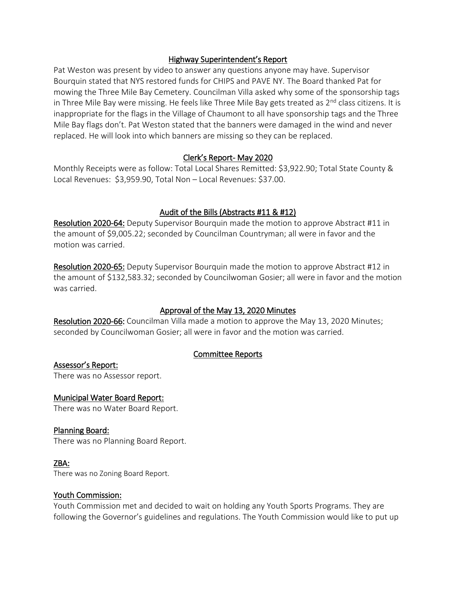### Highway Superintendent's Report

Pat Weston was present by video to answer any questions anyone may have. Supervisor Bourquin stated that NYS restored funds for CHIPS and PAVE NY. The Board thanked Pat for mowing the Three Mile Bay Cemetery. Councilman Villa asked why some of the sponsorship tags in Three Mile Bay were missing. He feels like Three Mile Bay gets treated as  $2<sup>nd</sup>$  class citizens. It is inappropriate for the flags in the Village of Chaumont to all have sponsorship tags and the Three Mile Bay flags don't. Pat Weston stated that the banners were damaged in the wind and never replaced. He will look into which banners are missing so they can be replaced.

# Clerk's Report- May 2020

Monthly Receipts were as follow: Total Local Shares Remitted: \$3,922.90; Total State County & Local Revenues: \$3,959.90, Total Non – Local Revenues: \$37.00.

# Audit of the Bills (Abstracts #11 & #12)

Resolution 2020-64: Deputy Supervisor Bourquin made the motion to approve Abstract #11 in the amount of \$9,005.22; seconded by Councilman Countryman; all were in favor and the motion was carried.

Resolution 2020-65: Deputy Supervisor Bourquin made the motion to approve Abstract #12 in the amount of \$132,583.32; seconded by Councilwoman Gosier; all were in favor and the motion was carried.

# Approval of the May 13, 2020 Minutes

Resolution 2020-66: Councilman Villa made a motion to approve the May 13, 2020 Minutes; seconded by Councilwoman Gosier; all were in favor and the motion was carried.

# Committee Reports

Assessor's Report: There was no Assessor report.

### Municipal Water Board Report:

There was no Water Board Report.

### Planning Board:

There was no Planning Board Report.

### ZBA:

There was no Zoning Board Report.

### Youth Commission:

Youth Commission met and decided to wait on holding any Youth Sports Programs. They are following the Governor's guidelines and regulations. The Youth Commission would like to put up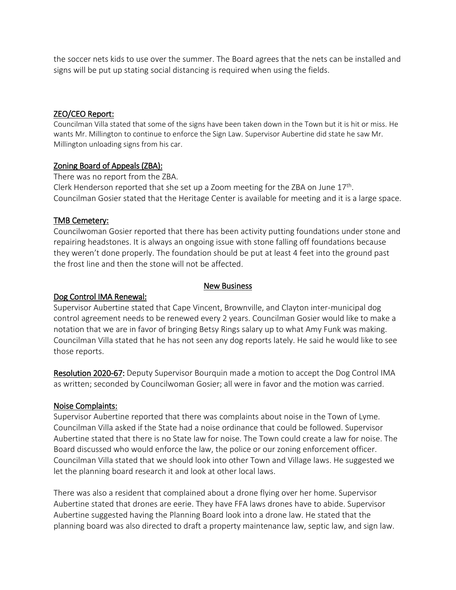the soccer nets kids to use over the summer. The Board agrees that the nets can be installed and signs will be put up stating social distancing is required when using the fields.

### ZEO/CEO Report:

Councilman Villa stated that some of the signs have been taken down in the Town but it is hit or miss. He wants Mr. Millington to continue to enforce the Sign Law. Supervisor Aubertine did state he saw Mr. Millington unloading signs from his car.

### Zoning Board of Appeals (ZBA):

There was no report from the ZBA. Clerk Henderson reported that she set up a Zoom meeting for the ZBA on June 17<sup>th</sup>. Councilman Gosier stated that the Heritage Center is available for meeting and it is a large space.

### TMB Cemetery:

Councilwoman Gosier reported that there has been activity putting foundations under stone and repairing headstones. It is always an ongoing issue with stone falling off foundations because they weren't done properly. The foundation should be put at least 4 feet into the ground past the frost line and then the stone will not be affected.

#### New Business

#### Dog Control IMA Renewal:

Supervisor Aubertine stated that Cape Vincent, Brownville, and Clayton inter-municipal dog control agreement needs to be renewed every 2 years. Councilman Gosier would like to make a notation that we are in favor of bringing Betsy Rings salary up to what Amy Funk was making. Councilman Villa stated that he has not seen any dog reports lately. He said he would like to see those reports.

Resolution 2020-67: Deputy Supervisor Bourquin made a motion to accept the Dog Control IMA as written; seconded by Councilwoman Gosier; all were in favor and the motion was carried.

#### Noise Complaints:

Supervisor Aubertine reported that there was complaints about noise in the Town of Lyme. Councilman Villa asked if the State had a noise ordinance that could be followed. Supervisor Aubertine stated that there is no State law for noise. The Town could create a law for noise. The Board discussed who would enforce the law, the police or our zoning enforcement officer. Councilman Villa stated that we should look into other Town and Village laws. He suggested we let the planning board research it and look at other local laws.

There was also a resident that complained about a drone flying over her home. Supervisor Aubertine stated that drones are eerie. They have FFA laws drones have to abide. Supervisor Aubertine suggested having the Planning Board look into a drone law. He stated that the planning board was also directed to draft a property maintenance law, septic law, and sign law.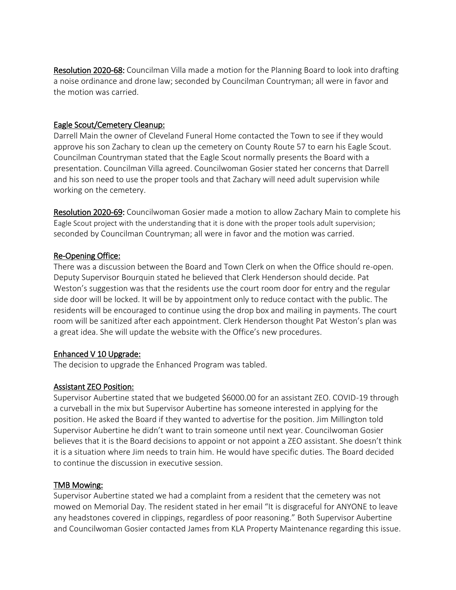Resolution 2020-68: Councilman Villa made a motion for the Planning Board to look into drafting a noise ordinance and drone law; seconded by Councilman Countryman; all were in favor and the motion was carried.

## Eagle Scout/Cemetery Cleanup:

Darrell Main the owner of Cleveland Funeral Home contacted the Town to see if they would approve his son Zachary to clean up the cemetery on County Route 57 to earn his Eagle Scout. Councilman Countryman stated that the Eagle Scout normally presents the Board with a presentation. Councilman Villa agreed. Councilwoman Gosier stated her concerns that Darrell and his son need to use the proper tools and that Zachary will need adult supervision while working on the cemetery.

Resolution 2020-69: Councilwoman Gosier made a motion to allow Zachary Main to complete his Eagle Scout project with the understanding that it is done with the proper tools adult supervision; seconded by Councilman Countryman; all were in favor and the motion was carried.

## Re-Opening Office:

There was a discussion between the Board and Town Clerk on when the Office should re-open. Deputy Supervisor Bourquin stated he believed that Clerk Henderson should decide. Pat Weston's suggestion was that the residents use the court room door for entry and the regular side door will be locked. It will be by appointment only to reduce contact with the public. The residents will be encouraged to continue using the drop box and mailing in payments. The court room will be sanitized after each appointment. Clerk Henderson thought Pat Weston's plan was a great idea. She will update the website with the Office's new procedures.

# Enhanced V 10 Upgrade:

The decision to upgrade the Enhanced Program was tabled.

### Assistant ZEO Position:

Supervisor Aubertine stated that we budgeted \$6000.00 for an assistant ZEO. COVID-19 through a curveball in the mix but Supervisor Aubertine has someone interested in applying for the position. He asked the Board if they wanted to advertise for the position. Jim Millington told Supervisor Aubertine he didn't want to train someone until next year. Councilwoman Gosier believes that it is the Board decisions to appoint or not appoint a ZEO assistant. She doesn't think it is a situation where Jim needs to train him. He would have specific duties. The Board decided to continue the discussion in executive session.

### TMB Mowing:

Supervisor Aubertine stated we had a complaint from a resident that the cemetery was not mowed on Memorial Day. The resident stated in her email "It is disgraceful for ANYONE to leave any headstones covered in clippings, regardless of poor reasoning." Both Supervisor Aubertine and Councilwoman Gosier contacted James from KLA Property Maintenance regarding this issue.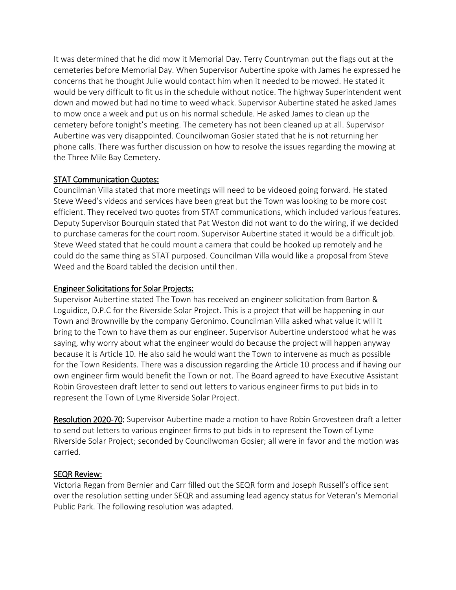It was determined that he did mow it Memorial Day. Terry Countryman put the flags out at the cemeteries before Memorial Day. When Supervisor Aubertine spoke with James he expressed he concerns that he thought Julie would contact him when it needed to be mowed. He stated it would be very difficult to fit us in the schedule without notice. The highway Superintendent went down and mowed but had no time to weed whack. Supervisor Aubertine stated he asked James to mow once a week and put us on his normal schedule. He asked James to clean up the cemetery before tonight's meeting. The cemetery has not been cleaned up at all. Supervisor Aubertine was very disappointed. Councilwoman Gosier stated that he is not returning her phone calls. There was further discussion on how to resolve the issues regarding the mowing at the Three Mile Bay Cemetery.

# STAT Communication Quotes:

Councilman Villa stated that more meetings will need to be videoed going forward. He stated Steve Weed's videos and services have been great but the Town was looking to be more cost efficient. They received two quotes from STAT communications, which included various features. Deputy Supervisor Bourquin stated that Pat Weston did not want to do the wiring, if we decided to purchase cameras for the court room. Supervisor Aubertine stated it would be a difficult job. Steve Weed stated that he could mount a camera that could be hooked up remotely and he could do the same thing as STAT purposed. Councilman Villa would like a proposal from Steve Weed and the Board tabled the decision until then.

# Engineer Solicitations for Solar Projects:

Supervisor Aubertine stated The Town has received an engineer solicitation from Barton & Loguidice, D.P.C for the Riverside Solar Project. This is a project that will be happening in our Town and Brownville by the company Geronimo. Councilman Villa asked what value it will it bring to the Town to have them as our engineer. Supervisor Aubertine understood what he was saying, why worry about what the engineer would do because the project will happen anyway because it is Article 10. He also said he would want the Town to intervene as much as possible for the Town Residents. There was a discussion regarding the Article 10 process and if having our own engineer firm would benefit the Town or not. The Board agreed to have Executive Assistant Robin Grovesteen draft letter to send out letters to various engineer firms to put bids in to represent the Town of Lyme Riverside Solar Project.

Resolution 2020-70: Supervisor Aubertine made a motion to have Robin Grovesteen draft a letter to send out letters to various engineer firms to put bids in to represent the Town of Lyme Riverside Solar Project; seconded by Councilwoman Gosier; all were in favor and the motion was carried.

# SEQR Review:

Victoria Regan from Bernier and Carr filled out the SEQR form and Joseph Russell's office sent over the resolution setting under SEQR and assuming lead agency status for Veteran's Memorial Public Park. The following resolution was adapted.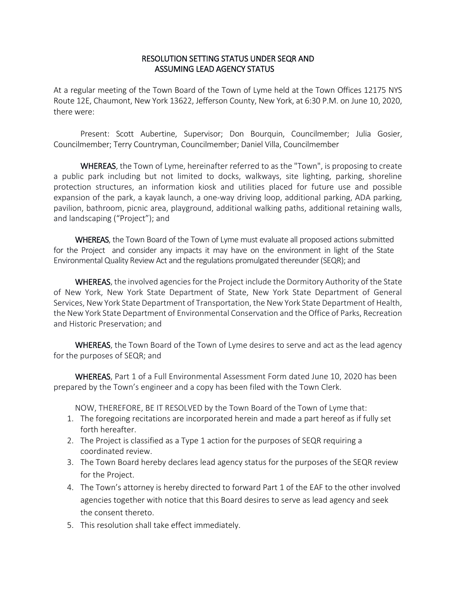## RESOLUTION SETTING STATUS UNDER SEQR AND ASSUMING LEAD AGENCY STATUS

At a regular meeting of the Town Board of the Town of Lyme held at the Town Offices 12175 NYS Route 12E, Chaumont, New York 13622, Jefferson County, New York, at 6:30 P.M. on June 10, 2020, there were:

Present: Scott Aubertine, Supervisor; Don Bourquin, Councilmember; Julia Gosier, Councilmember; Terry Countryman, Councilmember; Daniel Villa, Councilmember

WHEREAS, the Town of Lyme, hereinafter referred to as the "Town", is proposing to create a public park including but not limited to docks, walkways, site lighting, parking, shoreline protection structures, an information kiosk and utilities placed for future use and possible expansion of the park, a kayak launch, a one-way driving loop, additional parking, ADA parking, pavilion, bathroom, picnic area, playground, additional walking paths, additional retaining walls, and landscaping ("Project"); and

WHEREAS, the Town Board of the Town of Lyme must evaluate all proposed actions submitted for the Project and consider any impacts it may have on the environment in light of the State Environmental Quality Review Act and the regulations promulgated thereunder (SEQR); and

WHEREAS, the involved agencies for the Project include the Dormitory Authority of the State of New York, New York State Department of State, New York State Department of General Services, New York State Department of Transportation, the New York State Department of Health, the New York State Department of Environmental Conservation and the Office of Parks, Recreation and Historic Preservation; and

WHEREAS, the Town Board of the Town of Lyme desires to serve and act as the lead agency for the purposes of SEQR; and

WHEREAS, Part 1 of a Full Environmental Assessment Form dated June 10, 2020 has been prepared by the Town's engineer and a copy has been filed with the Town Clerk.

NOW, THEREFORE, BE IT RESOLVED by the Town Board of the Town of Lyme that:

- 1. The foregoing recitations are incorporated herein and made a part hereof as if fully set forth hereafter.
- 2. The Project is classified as a Type 1 action for the purposes of SEQR requiring a coordinated review.
- 3. The Town Board hereby declares lead agency status for the purposes of the SEQR review for the Project.
- 4. The Town's attorney is hereby directed to forward Part 1 of the EAF to the other involved agencies together with notice that this Board desires to serve as lead agency and seek the consent thereto.
- 5. This resolution shall take effect immediately.